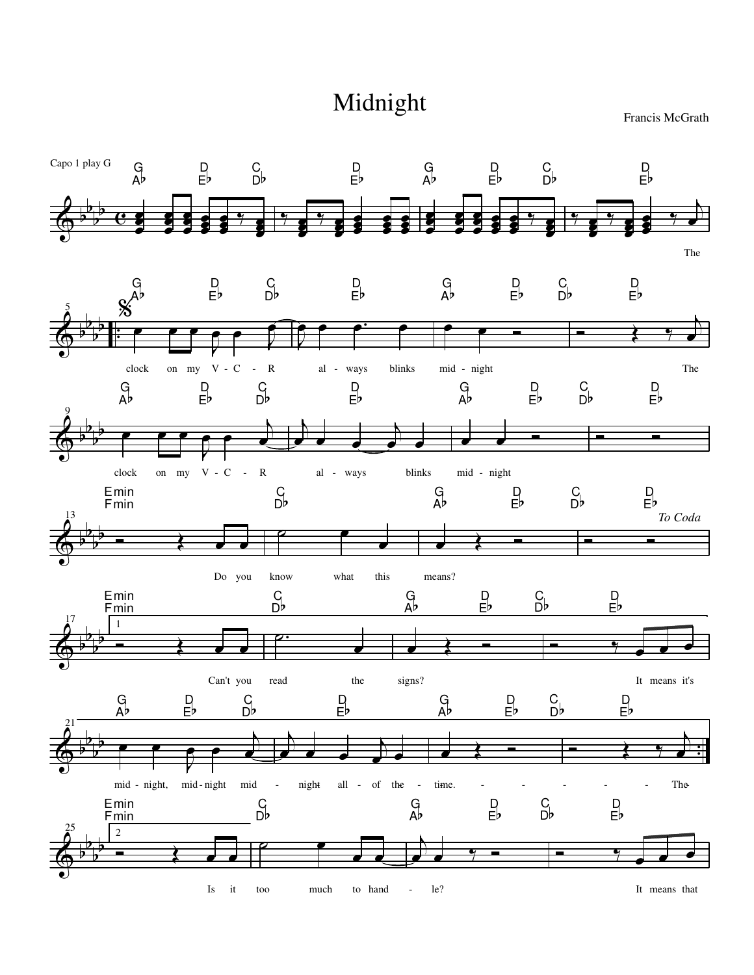## Midnight

Francis McGrath